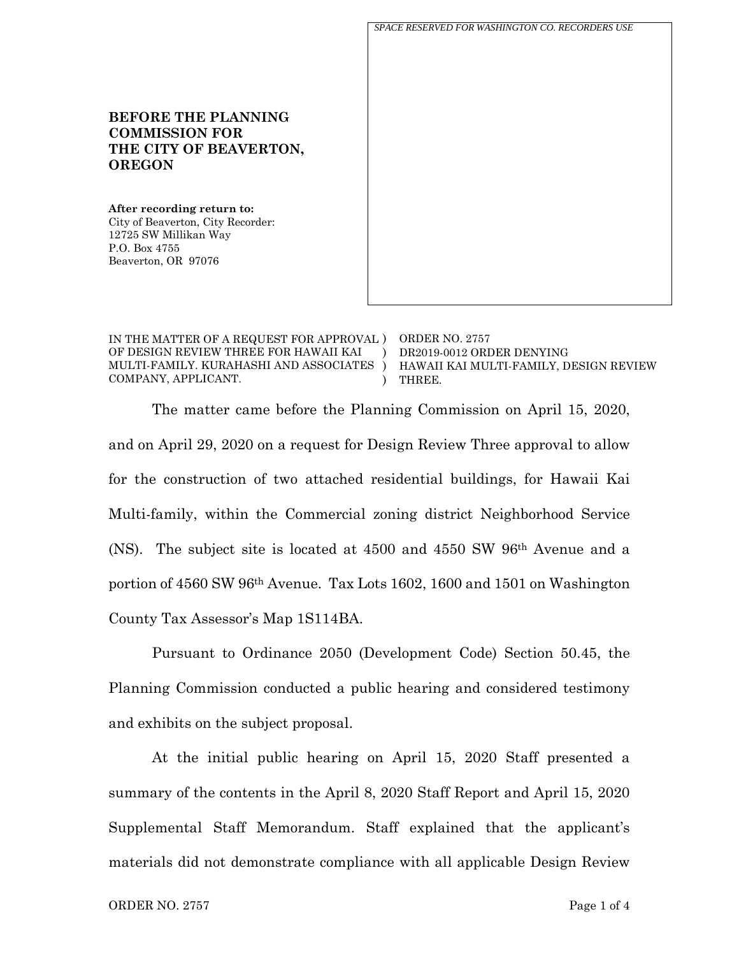*SPACE RESERVED FOR WASHINGTON CO. RECORDERS USE*

## **BEFORE THE PLANNING COMMISSION FOR THE CITY OF BEAVERTON, OREGON**

**After recording return to:** City of Beaverton, City Recorder: 12725 SW Millikan Way P.O. Box 4755 Beaverton, OR 97076

IN THE MATTER OF A REQUEST FOR APPROVAL ) ORDER NO. 2757 OF DESIGN REVIEW THREE FOR HAWAII KAI MULTI-FAMILY. KURAHASHI AND ASSOCIATES COMPANY, APPLICANT.  $\lambda$ ) )

DR2019-0012 ORDER DENYING HAWAII KAI MULTI-FAMILY, DESIGN REVIEW THREE.

The matter came before the Planning Commission on April 15, 2020, and on April 29, 2020 on a request for Design Review Three approval to allow for the construction of two attached residential buildings, for Hawaii Kai Multi-family, within the Commercial zoning district Neighborhood Service (NS). The subject site is located at 4500 and 4550 SW 96th Avenue and a portion of 4560 SW 96th Avenue. Tax Lots 1602, 1600 and 1501 on Washington County Tax Assessor's Map 1S114BA.

Pursuant to Ordinance 2050 (Development Code) Section 50.45, the Planning Commission conducted a public hearing and considered testimony and exhibits on the subject proposal.

At the initial public hearing on April 15, 2020 Staff presented a summary of the contents in the April 8, 2020 Staff Report and April 15, 2020 Supplemental Staff Memorandum. Staff explained that the applicant's materials did not demonstrate compliance with all applicable Design Review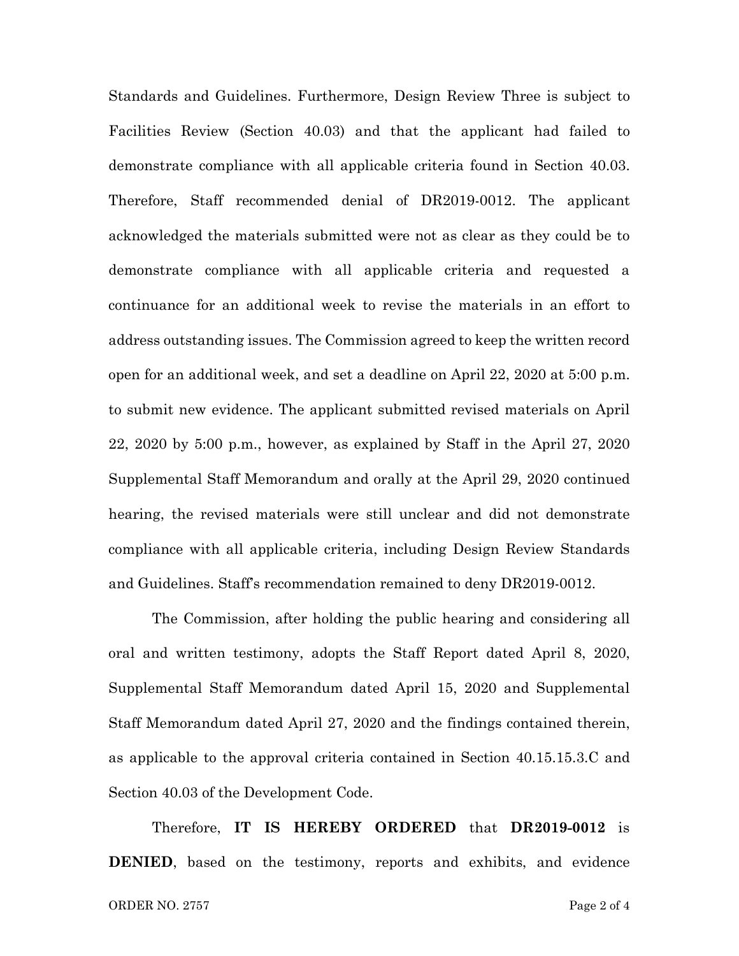Standards and Guidelines. Furthermore, Design Review Three is subject to Facilities Review (Section 40.03) and that the applicant had failed to demonstrate compliance with all applicable criteria found in Section 40.03. Therefore, Staff recommended denial of DR2019-0012. The applicant acknowledged the materials submitted were not as clear as they could be to demonstrate compliance with all applicable criteria and requested a continuance for an additional week to revise the materials in an effort to address outstanding issues. The Commission agreed to keep the written record open for an additional week, and set a deadline on April 22, 2020 at 5:00 p.m. to submit new evidence. The applicant submitted revised materials on April 22, 2020 by 5:00 p.m., however, as explained by Staff in the April 27, 2020 Supplemental Staff Memorandum and orally at the April 29, 2020 continued hearing, the revised materials were still unclear and did not demonstrate compliance with all applicable criteria, including Design Review Standards and Guidelines. Staff's recommendation remained to deny DR2019-0012.

The Commission, after holding the public hearing and considering all oral and written testimony, adopts the Staff Report dated April 8, 2020, Supplemental Staff Memorandum dated April 15, 2020 and Supplemental Staff Memorandum dated April 27, 2020 and the findings contained therein, as applicable to the approval criteria contained in Section 40.15.15.3.C and Section 40.03 of the Development Code.

Therefore, **IT IS HEREBY ORDERED** that **DR2019-0012** is **DENIED**, based on the testimony, reports and exhibits, and evidence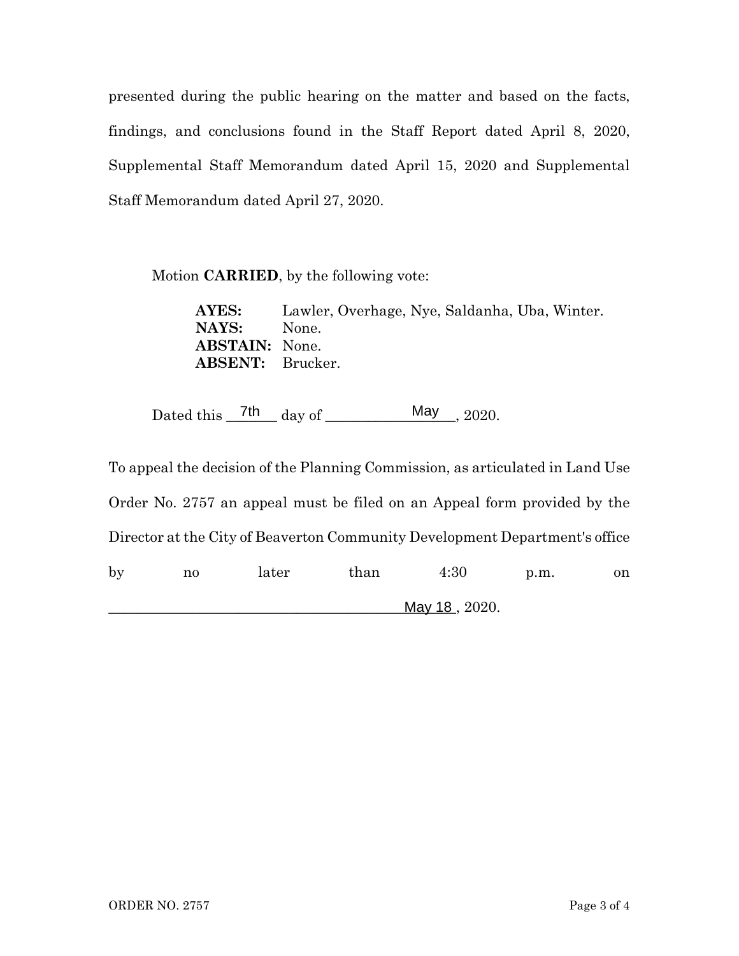presented during the public hearing on the matter and based on the facts, findings, and conclusions found in the Staff Report dated April 8, 2020, Supplemental Staff Memorandum dated April 15, 2020 and Supplemental Staff Memorandum dated April 27, 2020.

Motion **CARRIED**, by the following vote:

**AYES:** Lawler, Overhage, Nye, Saldanha, Uba, Winter. **NAYS:** None. **ABSTAIN:** None. **ABSENT:** Brucker.

Dated this  $\frac{7\text{th}}{4}$  day of  $\frac{\text{May}}{2020}$ . May  $_{-}$ , 2020.

To appeal the decision of the Planning Commission, as articulated in Land Use Order No. 2757 an appeal must be filed on an Appeal form provided by the Director at the City of Beaverton Community Development Department's office

by no later than 4:30 p.m. on \_\_\_\_\_\_\_\_\_\_\_\_\_\_\_\_\_\_\_\_\_\_\_\_\_\_\_\_\_\_\_\_\_\_\_\_\_\_\_\_\_\_\_\_\_\_\_\_, 2020. May 18